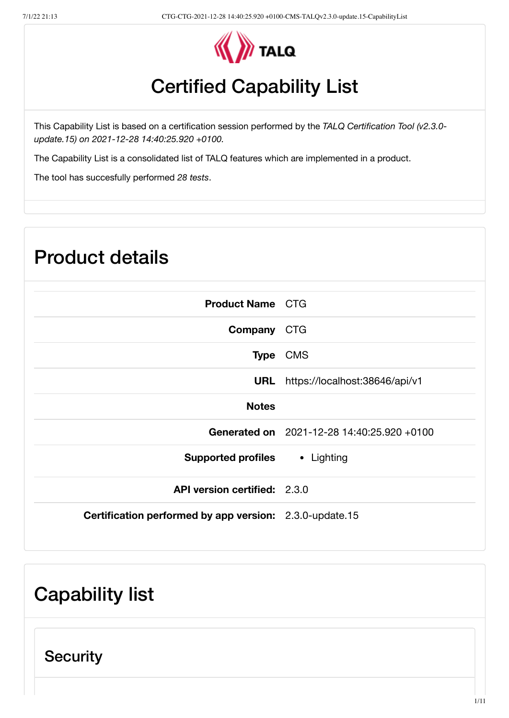

# Certified Capability List

This Capability List is based on a certification session performed by the *TALQ Certification Tool (v2.3.0 update.15) on 2021-12-28 14:40:25.920 +0100.*

The Capability List is a consolidated list of TALQ features which are implemented in a product.

The tool has succesfully performed *28 tests*.

| <b>Product details</b>                                  |                                            |  |
|---------------------------------------------------------|--------------------------------------------|--|
| <b>Product Name CTG</b>                                 |                                            |  |
| Company CTG                                             |                                            |  |
|                                                         | Type CMS                                   |  |
|                                                         | URL https://localhost:38646/api/v1         |  |
| <b>Notes</b>                                            |                                            |  |
|                                                         | Generated on 2021-12-28 14:40:25.920 +0100 |  |
| <b>Supported profiles • Lighting</b>                    |                                            |  |
| API version certified: 2.3.0                            |                                            |  |
| Certification performed by app version: 2.3.0-update.15 |                                            |  |

## Capability list

**Security**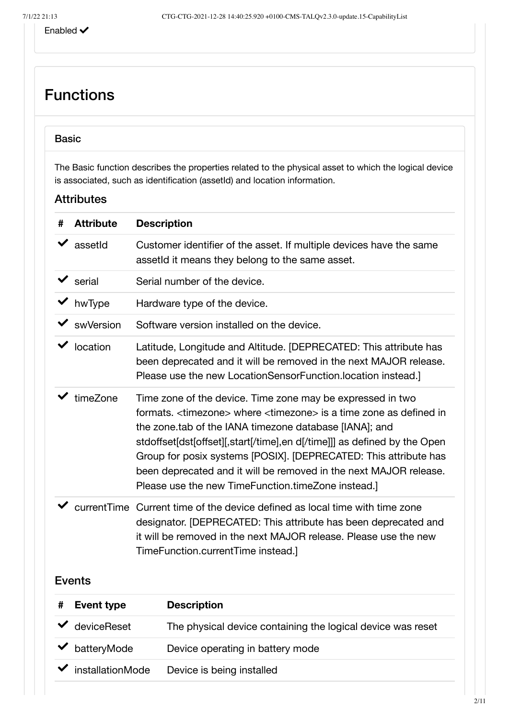### Functions

#### Basic

The Basic function describes the properties related to the physical asset to which the logical device is associated, such as identification (assetId) and location information.

| # | <b>Attribute</b>                                                                                                                                                                                                              | <b>Description</b>                                                                                                                                                                                                                                                                                                                                                                                                                                                                              |
|---|-------------------------------------------------------------------------------------------------------------------------------------------------------------------------------------------------------------------------------|-------------------------------------------------------------------------------------------------------------------------------------------------------------------------------------------------------------------------------------------------------------------------------------------------------------------------------------------------------------------------------------------------------------------------------------------------------------------------------------------------|
|   | assetId                                                                                                                                                                                                                       | Customer identifier of the asset. If multiple devices have the same<br>assetId it means they belong to the same asset.                                                                                                                                                                                                                                                                                                                                                                          |
|   | $\blacktriangleright$ serial                                                                                                                                                                                                  | Serial number of the device.                                                                                                                                                                                                                                                                                                                                                                                                                                                                    |
|   | hwType                                                                                                                                                                                                                        | Hardware type of the device.                                                                                                                                                                                                                                                                                                                                                                                                                                                                    |
|   | swVersion                                                                                                                                                                                                                     | Software version installed on the device.                                                                                                                                                                                                                                                                                                                                                                                                                                                       |
|   | location                                                                                                                                                                                                                      | Latitude, Longitude and Altitude. [DEPRECATED: This attribute has<br>been deprecated and it will be removed in the next MAJOR release.<br>Please use the new LocationSensorFunction.location instead.]                                                                                                                                                                                                                                                                                          |
|   | timeZone                                                                                                                                                                                                                      | Time zone of the device. Time zone may be expressed in two<br>formats. <timezone> where <timezone> is a time zone as defined in<br/>the zone.tab of the IANA timezone database [IANA]; and<br/>stdoffset[dst[offset][,start[/time],en d[/time]]] as defined by the Open<br/>Group for posix systems [POSIX]. [DEPRECATED: This attribute has<br/>been deprecated and it will be removed in the next MAJOR release.<br/>Please use the new TimeFunction.timeZone instead.]</timezone></timezone> |
|   | currentTime                                                                                                                                                                                                                   | Current time of the device defined as local time with time zone<br>designator. [DEPRECATED: This attribute has been deprecated and<br>it will be removed in the next MAJOR release. Please use the new<br>TimeFunction.currentTime instead.]                                                                                                                                                                                                                                                    |
|   | <b>Events</b>                                                                                                                                                                                                                 |                                                                                                                                                                                                                                                                                                                                                                                                                                                                                                 |
|   | Free with the contract of the contract of the contract of the contract of the contract of the contract of the contract of the contract of the contract of the contract of the contract of the contract of the contract of the | <b>December 19</b>                                                                                                                                                                                                                                                                                                                                                                                                                                                                              |

| <b>Event type</b>                 | <b>Description</b>                                          |
|-----------------------------------|-------------------------------------------------------------|
| $\vee$ deviceReset                | The physical device containing the logical device was reset |
| $\blacktriangleright$ batteryMode | Device operating in battery mode                            |
| installationMode                  | Device is being installed                                   |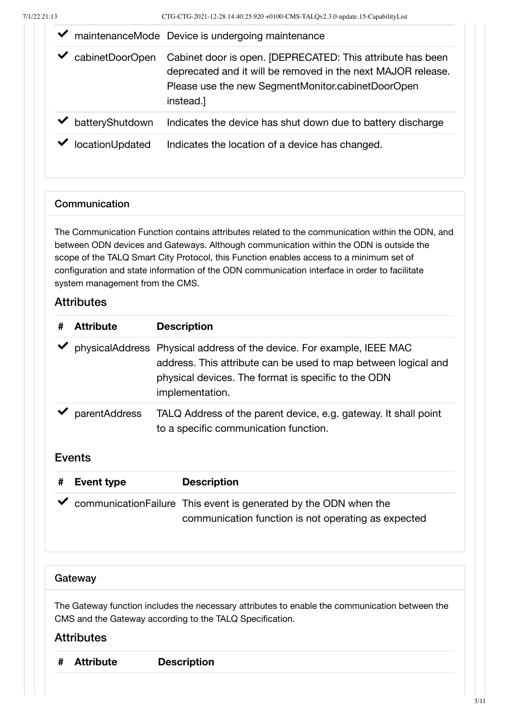|                 | maintenanceMode Device is undergoing maintenance                                                                                                                                             |  |
|-----------------|----------------------------------------------------------------------------------------------------------------------------------------------------------------------------------------------|--|
| cabinetDoorOpen | Cabinet door is open. [DEPRECATED: This attribute has been<br>deprecated and it will be removed in the next MAJOR release.<br>Please use the new SegmentMonitor.cabinetDoorOpen<br>instead.] |  |
| batteryShutdown | Indicates the device has shut down due to battery discharge                                                                                                                                  |  |
| locationUpdated | Indicates the location of a device has changed.                                                                                                                                              |  |

#### **Communication**

The Communication Function contains attributes related to the communication within the ODN, and between ODN devices and Gateways. Although communication within the ODN is outside the scope of the TALQ Smart City Protocol, this Function enables access to a minimum set of configuration and state information of the ODN communication interface in order to facilitate system management from the CMS.

#### **Attributes**

| # | <b>Attribute</b> | <b>Description</b>                                                                                                                                                                                                |
|---|------------------|-------------------------------------------------------------------------------------------------------------------------------------------------------------------------------------------------------------------|
|   |                  | physicalAddress Physical address of the device. For example, IEEE MAC<br>address. This attribute can be used to map between logical and<br>physical devices. The format is specific to the ODN<br>implementation. |
|   | parentAddress    | TALQ Address of the parent device, e.g. gateway. It shall point<br>to a specific communication function.                                                                                                          |

#### Events

| # Event type | <b>Description</b>                                                                                                        |
|--------------|---------------------------------------------------------------------------------------------------------------------------|
|              | ◆ communicationFailure This event is generated by the ODN when the<br>communication function is not operating as expected |

#### **Gateway**

The Gateway function includes the necessary attributes to enable the communication between the CMS and the Gateway according to the TALQ Specification.

| # Attribute | <b>Description</b> |
|-------------|--------------------|
|-------------|--------------------|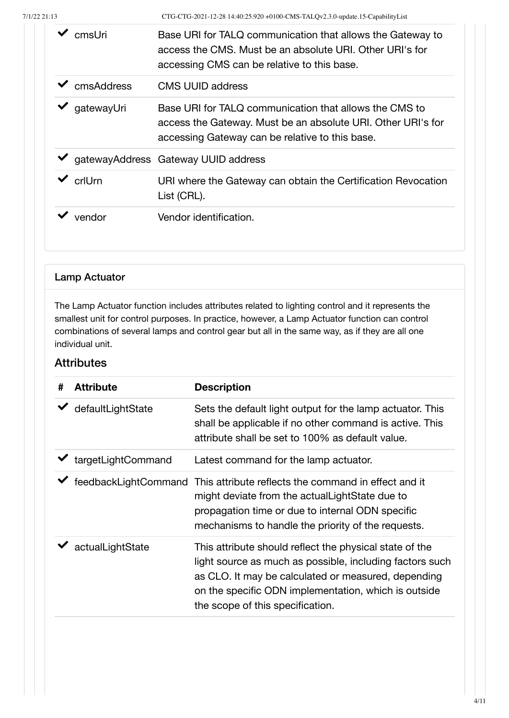| cmsl Jri   | Base URI for TALQ communication that allows the Gateway to<br>access the CMS. Must be an absolute URI, Other URI's for<br>accessing CMS can be relative to this base.     |  |
|------------|---------------------------------------------------------------------------------------------------------------------------------------------------------------------------|--|
| cmsAddress | <b>CMS UUID address</b>                                                                                                                                                   |  |
| gatewayUri | Base URI for TALQ communication that allows the CMS to<br>access the Gateway. Must be an absolute URI. Other URI's for<br>accessing Gateway can be relative to this base. |  |
|            | gatewayAddress Gateway UUID address                                                                                                                                       |  |
| crlUrn     | URI where the Gateway can obtain the Certification Revocation<br>List (CRL).                                                                                              |  |
| vendor     | Vendor identification.                                                                                                                                                    |  |

#### Lamp Actuator

The Lamp Actuator function includes attributes related to lighting control and it represents the smallest unit for control purposes. In practice, however, a Lamp Actuator function can control combinations of several lamps and control gear but all in the same way, as if they are all one individual unit.

| # | <b>Attribute</b>                         | <b>Description</b>                                                                                                                                                                                                                                                     |
|---|------------------------------------------|------------------------------------------------------------------------------------------------------------------------------------------------------------------------------------------------------------------------------------------------------------------------|
|   | defaultLightState                        | Sets the default light output for the lamp actuator. This<br>shall be applicable if no other command is active. This<br>attribute shall be set to 100% as default value.                                                                                               |
|   | $\blacktriangleright$ targetLightCommand | Latest command for the lamp actuator.                                                                                                                                                                                                                                  |
|   | feedbackLightCommand                     | This attribute reflects the command in effect and it<br>might deviate from the actual Light State due to<br>propagation time or due to internal ODN specific<br>mechanisms to handle the priority of the requests.                                                     |
|   | actualLightState                         | This attribute should reflect the physical state of the<br>light source as much as possible, including factors such<br>as CLO. It may be calculated or measured, depending<br>on the specific ODN implementation, which is outside<br>the scope of this specification. |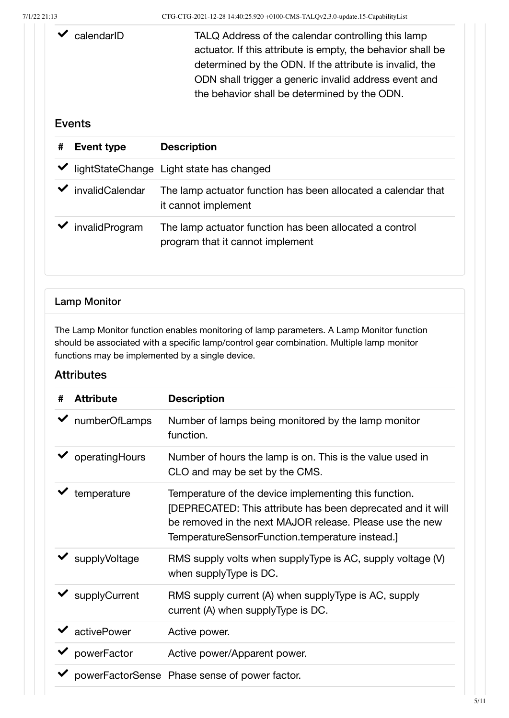◆ calendarID TALQ Address of the calendar controlling this lamp actuator. If this attribute is empty, the behavior shall be determined by the ODN. If the attribute is invalid, the ODN shall trigger a generic invalid address event and the behavior shall be determined by the ODN.

#### Events

| # | <b>Event type</b> | <b>Description</b>                                                                          |
|---|-------------------|---------------------------------------------------------------------------------------------|
|   |                   | lightStateChange Light state has changed                                                    |
|   | invalidCalendar   | The lamp actuator function has been allocated a calendar that<br>it cannot implement        |
|   | invalidProgram    | The lamp actuator function has been allocated a control<br>program that it cannot implement |

#### Lamp Monitor

The Lamp Monitor function enables monitoring of lamp parameters. A Lamp Monitor function should be associated with a specific lamp/control gear combination. Multiple lamp monitor functions may be implemented by a single device.

| # | <b>Attribute</b> | <b>Description</b>                                                                                                                                                                                                                  |
|---|------------------|-------------------------------------------------------------------------------------------------------------------------------------------------------------------------------------------------------------------------------------|
|   | numberOfLamps    | Number of lamps being monitored by the lamp monitor<br>function.                                                                                                                                                                    |
|   | operatingHours   | Number of hours the lamp is on. This is the value used in<br>CLO and may be set by the CMS.                                                                                                                                         |
|   | temperature      | Temperature of the device implementing this function.<br>[DEPRECATED: This attribute has been deprecated and it will<br>be removed in the next MAJOR release. Please use the new<br>TemperatureSensorFunction.temperature instead.] |
|   | supplyVoltage    | RMS supply volts when supplyType is AC, supply voltage (V)<br>when supplyType is DC.                                                                                                                                                |
|   | supplyCurrent    | RMS supply current (A) when supplyType is AC, supply<br>current (A) when supplyType is DC.                                                                                                                                          |
|   | activePower      | Active power.                                                                                                                                                                                                                       |
|   | powerFactor      | Active power/Apparent power.                                                                                                                                                                                                        |
|   |                  | powerFactorSense Phase sense of power factor.                                                                                                                                                                                       |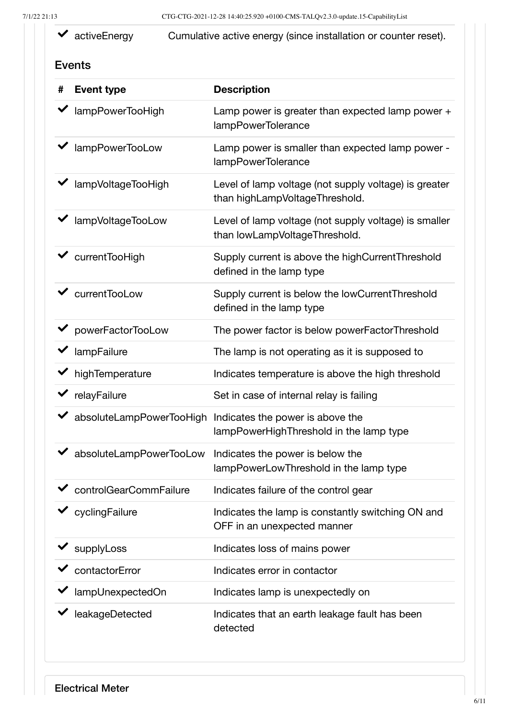activeEnergy Cumulative active energy (since installation or counter reset).

#### Events

| #            | <b>Event type</b>                      | <b>Description</b>                                                                                   |
|--------------|----------------------------------------|------------------------------------------------------------------------------------------------------|
|              | ◆ lampPowerTooHigh                     | Lamp power is greater than expected lamp power $+$<br>lampPowerTolerance                             |
|              | lampPowerTooLow                        | Lamp power is smaller than expected lamp power -<br>lampPowerTolerance                               |
|              | ◆ lampVoltageTooHigh                   | Level of lamp voltage (not supply voltage) is greater<br>than highLampVoltageThreshold.              |
|              | lampVoltageTooLow                      | Level of lamp voltage (not supply voltage) is smaller<br>than lowLampVoltageThreshold.               |
|              | $\checkmark$ current Too High          | Supply current is above the highCurrentThreshold<br>defined in the lamp type                         |
|              | $\checkmark$ current TooLow            | Supply current is below the lowCurrentThreshold<br>defined in the lamp type                          |
|              | ◆ powerFactorTooLow                    | The power factor is below powerFactorThreshold                                                       |
|              | $\blacktriangleright$ lampFailure      | The lamp is not operating as it is supposed to                                                       |
|              | $\blacktriangleright$ high Temperature | Indicates temperature is above the high threshold                                                    |
|              | $\blacktriangleright$ relayFailure     | Set in case of internal relay is failing                                                             |
| $\checkmark$ |                                        | absoluteLampPowerTooHigh Indicates the power is above the<br>lampPowerHighThreshold in the lamp type |
|              | ◆ absoluteLampPowerTooLow              | Indicates the power is below the<br>lampPowerLowThreshold in the lamp type                           |
|              | ◆ controlGearCommFailure               | Indicates failure of the control gear                                                                |
|              | cyclingFailure                         | Indicates the lamp is constantly switching ON and<br>OFF in an unexpected manner                     |
|              | supplyLoss                             | Indicates loss of mains power                                                                        |
|              | contactorError                         | Indicates error in contactor                                                                         |
|              | lampUnexpectedOn                       | Indicates lamp is unexpectedly on                                                                    |
|              | leakageDetected                        | Indicates that an earth leakage fault has been<br>detected                                           |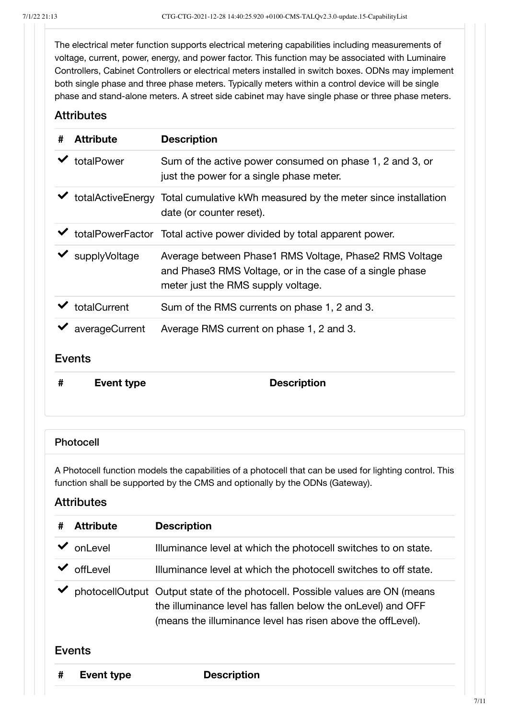The electrical meter function supports electrical metering capabilities including measurements of voltage, current, power, energy, and power factor. This function may be associated with Luminaire Controllers, Cabinet Controllers or electrical meters installed in switch boxes. ODNs may implement both single phase and three phase meters. Typically meters within a control device will be single phase and stand-alone meters. A street side cabinet may have single phase or three phase meters.

#### **Attributes**

| # | <b>Attribute</b>                    | <b>Description</b>                                                                                                                                       |
|---|-------------------------------------|----------------------------------------------------------------------------------------------------------------------------------------------------------|
|   | totalPower                          | Sum of the active power consumed on phase 1, 2 and 3, or<br>just the power for a single phase meter.                                                     |
|   |                                     | ◆ totalActiveEnergy Total cumulative kWh measured by the meter since installation<br>date (or counter reset).                                            |
|   |                                     | totalPowerFactor Total active power divided by total apparent power.                                                                                     |
|   | $\blacktriangleright$ supplyVoltage | Average between Phase1 RMS Voltage, Phase2 RMS Voltage<br>and Phase3 RMS Voltage, or in the case of a single phase<br>meter just the RMS supply voltage. |
|   | totalCurrent                        | Sum of the RMS currents on phase 1, 2 and 3.                                                                                                             |
|   | averageCurrent                      | Average RMS current on phase 1, 2 and 3.                                                                                                                 |
|   | <b>Events</b>                       |                                                                                                                                                          |
| # | Event type                          | <b>Description</b>                                                                                                                                       |

#### Photocell

A Photocell function models the capabilities of a photocell that can be used for lighting control. This function shall be supported by the CMS and optionally by the ODNs (Gateway).

| # | <b>Attribute</b>  | <b>Description</b>                                                                                                                                                                                         |
|---|-------------------|------------------------------------------------------------------------------------------------------------------------------------------------------------------------------------------------------------|
|   | onLevel           | Illuminance level at which the photocell switches to on state.                                                                                                                                             |
|   | offLevel          | Illuminance level at which the photocell switches to off state.                                                                                                                                            |
|   |                   | photocellOutput Output state of the photocell. Possible values are ON (means<br>the illuminance level has fallen below the onLevel) and OFF<br>(means the illuminance level has risen above the offLevel). |
|   | <b>Events</b>     |                                                                                                                                                                                                            |
| # | <b>Event type</b> | <b>Description</b>                                                                                                                                                                                         |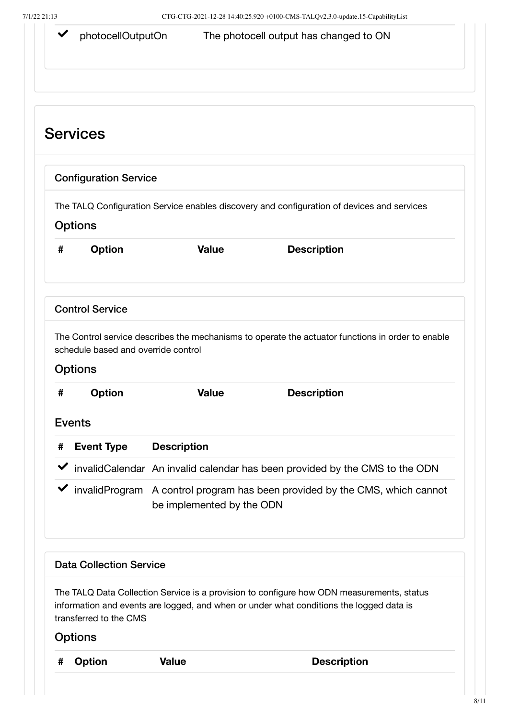|   | photocellOutputOn                                     |                           | The photocell output has changed to ON                                                                                                                                               |
|---|-------------------------------------------------------|---------------------------|--------------------------------------------------------------------------------------------------------------------------------------------------------------------------------------|
|   | <b>Services</b>                                       |                           |                                                                                                                                                                                      |
|   | <b>Configuration Service</b>                          |                           |                                                                                                                                                                                      |
|   | <b>Options</b>                                        |                           | The TALQ Configuration Service enables discovery and configuration of devices and services                                                                                           |
| # | <b>Option</b>                                         | <b>Value</b>              | <b>Description</b>                                                                                                                                                                   |
|   | <b>Control Service</b>                                |                           |                                                                                                                                                                                      |
|   |                                                       |                           |                                                                                                                                                                                      |
|   | schedule based and override control<br><b>Options</b> |                           | The Control service describes the mechanisms to operate the actuator functions in order to enable                                                                                    |
| # | <b>Option</b>                                         | <b>Value</b>              | <b>Description</b>                                                                                                                                                                   |
|   | <b>Events</b>                                         |                           |                                                                                                                                                                                      |
| # | <b>Event Type</b>                                     | <b>Description</b>        |                                                                                                                                                                                      |
|   |                                                       |                           | InvalidCalendar An invalid calendar has been provided by the CMS to the ODN                                                                                                          |
|   |                                                       | be implemented by the ODN | I invalidProgram A control program has been provided by the CMS, which cannot                                                                                                        |
|   | <b>Data Collection Service</b>                        |                           |                                                                                                                                                                                      |
|   | transferred to the CMS                                |                           | The TALQ Data Collection Service is a provision to configure how ODN measurements, status<br>information and events are logged, and when or under what conditions the logged data is |
|   | <b>Options</b>                                        |                           |                                                                                                                                                                                      |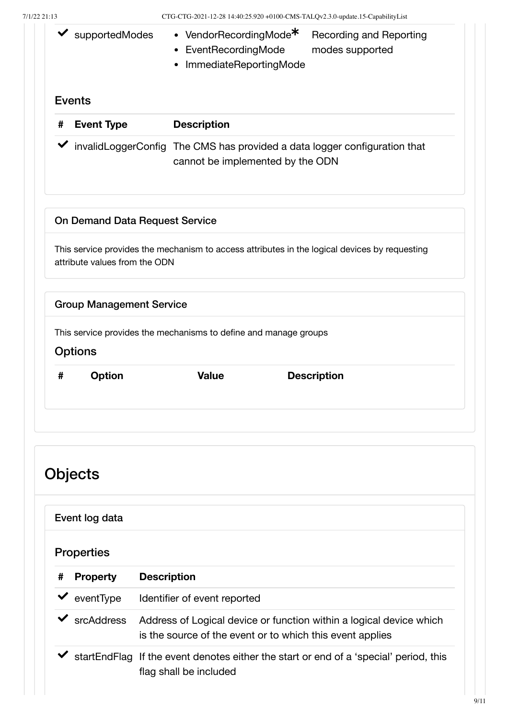| 7/1/22 21:13  |                                       | CTG-CTG-2021-12-28 14:40:25.920 +0100-CMS-TALQv2.3.0-update.15-CapabilityList                                                    |                                            |
|---------------|---------------------------------------|----------------------------------------------------------------------------------------------------------------------------------|--------------------------------------------|
|               | $\blacktriangleright$ supported Modes | • VendorRecordingMode <sup>*</sup><br>• EventRecordingMode<br>ImmediateReportingMode<br>٠                                        | Recording and Reporting<br>modes supported |
| <b>Events</b> |                                       |                                                                                                                                  |                                            |
| #             | <b>Event Type</b>                     | <b>Description</b>                                                                                                               |                                            |
|               |                                       | InvalidLoggerConfig The CMS has provided a data logger configuration that<br>cannot be implemented by the ODN                    |                                            |
|               | <b>On Demand Data Request Service</b> |                                                                                                                                  |                                            |
|               | attribute values from the ODN         | This service provides the mechanism to access attributes in the logical devices by requesting                                    |                                            |
|               | <b>Group Management Service</b>       |                                                                                                                                  |                                            |
|               | <b>Options</b>                        | This service provides the mechanisms to define and manage groups                                                                 |                                            |
| #             | <b>Option</b>                         | <b>Value</b>                                                                                                                     | <b>Description</b>                         |
|               |                                       |                                                                                                                                  |                                            |
|               |                                       |                                                                                                                                  |                                            |
|               |                                       |                                                                                                                                  |                                            |
|               | Objects                               |                                                                                                                                  |                                            |
|               | Event log data                        |                                                                                                                                  |                                            |
|               | <b>Properties</b>                     |                                                                                                                                  |                                            |
| #             | <b>Property</b>                       | <b>Description</b>                                                                                                               |                                            |
|               | $\blacktriangleright$ event Type      | Identifier of event reported                                                                                                     |                                            |
|               | $\checkmark$ srcAddress               | Address of Logical device or function within a logical device which<br>is the source of the event or to which this event applies |                                            |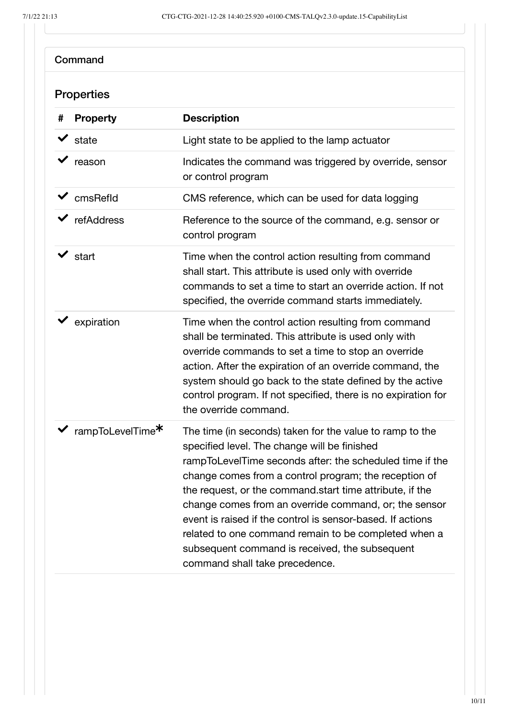| <b>Properties</b> |                                |                                                                                                                                                                                                                                                                                                                                                                                                                                                                                                                                                              |
|-------------------|--------------------------------|--------------------------------------------------------------------------------------------------------------------------------------------------------------------------------------------------------------------------------------------------------------------------------------------------------------------------------------------------------------------------------------------------------------------------------------------------------------------------------------------------------------------------------------------------------------|
| #                 | <b>Property</b>                | <b>Description</b>                                                                                                                                                                                                                                                                                                                                                                                                                                                                                                                                           |
|                   | state                          | Light state to be applied to the lamp actuator                                                                                                                                                                                                                                                                                                                                                                                                                                                                                                               |
|                   | reason                         | Indicates the command was triggered by override, sensor<br>or control program                                                                                                                                                                                                                                                                                                                                                                                                                                                                                |
|                   | $\blacktriangleright$ cmsRefld | CMS reference, which can be used for data logging                                                                                                                                                                                                                                                                                                                                                                                                                                                                                                            |
|                   | refAddress                     | Reference to the source of the command, e.g. sensor or<br>control program                                                                                                                                                                                                                                                                                                                                                                                                                                                                                    |
|                   | $\vee$ start                   | Time when the control action resulting from command<br>shall start. This attribute is used only with override<br>commands to set a time to start an override action. If not<br>specified, the override command starts immediately.                                                                                                                                                                                                                                                                                                                           |
|                   | expiration                     | Time when the control action resulting from command<br>shall be terminated. This attribute is used only with<br>override commands to set a time to stop an override<br>action. After the expiration of an override command, the<br>system should go back to the state defined by the active<br>control program. If not specified, there is no expiration for<br>the override command.                                                                                                                                                                        |
|                   | rampToLevelTime*               | The time (in seconds) taken for the value to ramp to the<br>specified level. The change will be finished<br>rampToLevelTime seconds after: the scheduled time if the<br>change comes from a control program; the reception of<br>the request, or the command start time attribute, if the<br>change comes from an override command, or; the sensor<br>event is raised if the control is sensor-based. If actions<br>related to one command remain to be completed when a<br>subsequent command is received, the subsequent<br>command shall take precedence. |